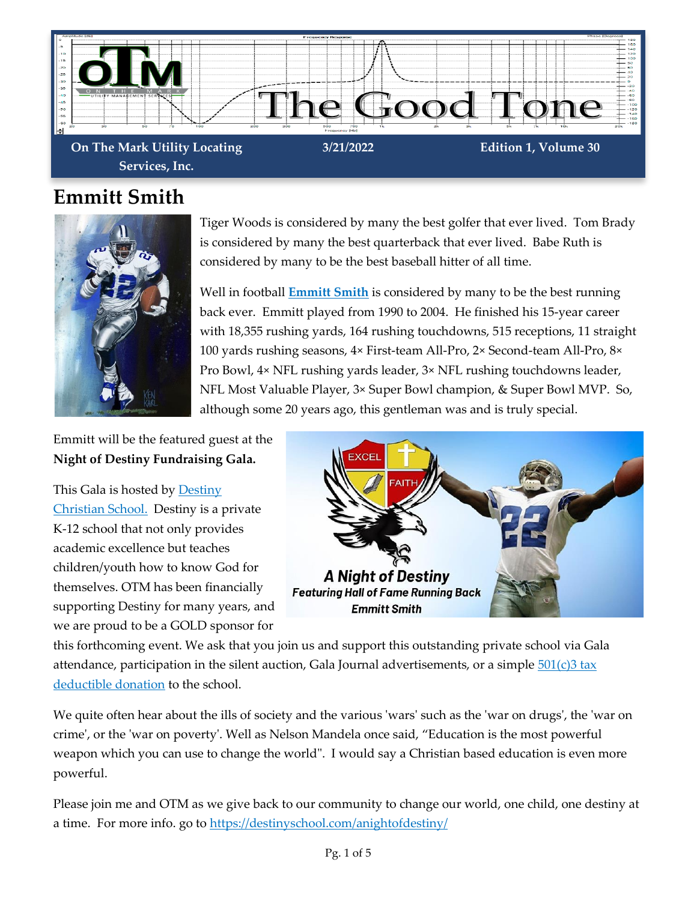

**On The Mark Utility Locating Services, Inc.**

#### **Emmitt Smith**



Tiger Woods is considered by many the best golfer that ever lived. Tom Brady is considered by many the best quarterback that ever lived. Babe Ruth is considered by many to be the best baseball hitter of all time.

Well in football **[Emmitt Smith](https://www.profootballhof.com/players/emmitt-smith/)** is considered by many to be the best running back ever. Emmitt played from 1990 to 2004. He finished his 15-year career with 18,355 rushing yards, 164 rushing touchdowns, 515 receptions, 11 straight 100 yards rushing seasons, 4× First-team All-Pro, 2× Second-team All-Pro, 8× Pro Bowl, 4× NFL rushing yards leader, 3× NFL rushing touchdowns leader, NFL Most Valuable Player, 3× Super Bowl champion, & Super Bowl MVP. So, although some 20 years ago, this gentleman was and is truly special.

Emmitt will be the featured guest at the **Night of Destiny Fundraising Gala.**

This Gala is hosted by **Destiny** [Christian School.](https://destinyschool.com/) Destiny is a private K-12 school that not only provides academic excellence but teaches children/youth how to know God for themselves. OTM has been financially supporting Destiny for many years, and we are proud to be a GOLD sponsor for



this forthcoming event. We ask that you join us and support this outstanding private school via Gala attendance, participation in the silent auction, Gala Journal advertisements, or a simple  $501(c)3 tax$ [deductible donation](https://destinyschool.com/donate/) to the school.

We quite often hear about the ills of society and the various 'wars' such as the 'war on drugs', the 'war on crime', or the 'war on poverty'. Well as Nelson Mandela once said, "Education is the most powerful weapon which you can use to change the world". I would say a Christian based education is even more powerful.

Please join me and OTM as we give back to our community to change our world, one child, one destiny at a time. For more info. go to<https://destinyschool.com/anightofdestiny/>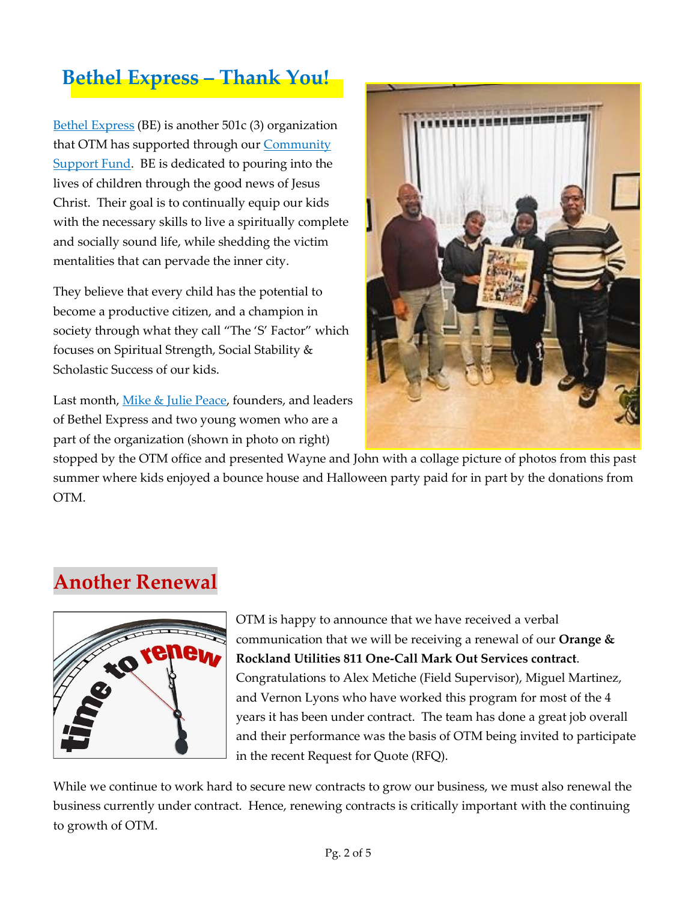## **Bethel Express – Thank You!**

[Bethel Express](https://bethelexpress.org/) (BE) is another 501c (3) organization that OTM has supported through our [Community](https://www.otmlocating.com/community-support)  [Support Fund.](https://www.otmlocating.com/community-support) BE is dedicated to pouring into the lives of children through the good news of Jesus Christ. Their goal is to continually equip our kids with the necessary skills to live a spiritually complete and socially sound life, while shedding the victim mentalities that can pervade the inner city.

They believe that every child has the potential to become a productive citizen, and a champion in society through what they call "The 'S' Factor" which focuses on Spiritual Strength, Social Stability & Scholastic Success of our kids.

Last month, [Mike & Julie Peace,](https://bethelexpress.org/mike-julia) founders, and leaders of Bethel Express and two young women who are a part of the organization (shown in photo on right)



stopped by the OTM office and presented Wayne and John with a collage picture of photos from this past summer where kids enjoyed a bounce house and Halloween party paid for in part by the donations from OTM.

## **Another Renewal**



OTM is happy to announce that we have received a verbal communication that we will be receiving a renewal of our **Orange & Rockland Utilities 811 One-Call Mark Out Services contract**. Congratulations to Alex Metiche (Field Supervisor), Miguel Martinez, and Vernon Lyons who have worked this program for most of the 4 years it has been under contract. The team has done a great job overall and their performance was the basis of OTM being invited to participate in the recent Request for Quote (RFQ).

While we continue to work hard to secure new contracts to grow our business, we must also renewal the business currently under contract. Hence, renewing contracts is critically important with the continuing to growth of OTM.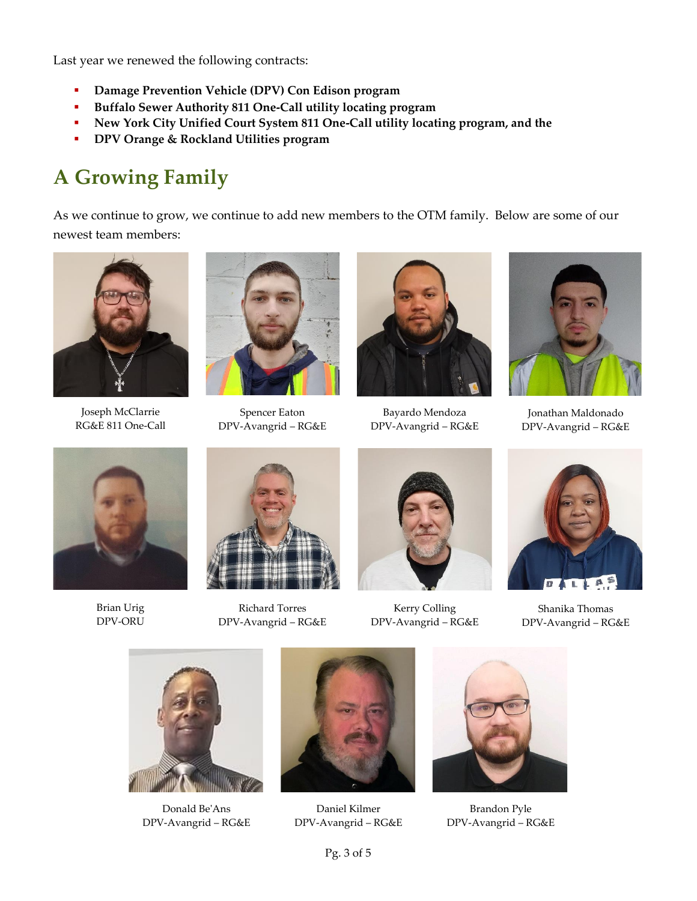Last year we renewed the following contracts:

- **Damage Prevention Vehicle (DPV) Con Edison program**
- **Buffalo Sewer Authority 811 One-Call utility locating program**
- **New York City Unified Court System 811 One-Call utility locating program, and the**
- **DPV Orange & Rockland Utilities program**

## **A Growing Family**

As we continue to grow, we continue to add new members to the OTM family. Below are some of our newest team members:



Joseph McClarrie RG&E 811 One-Call



Spencer Eaton DPV-Avangrid – RG&E



Bayardo Mendoza DPV-Avangrid – RG&E



Jonathan Maldonado DPV-Avangrid – RG&E



Brian Urig DPV-ORU



Richard Torres DPV-Avangrid – RG&E



Kerry Colling DPV-Avangrid – RG&E



Shanika Thomas DPV-Avangrid – RG&E



Donald Be'Ans DPV-Avangrid – RG&E



Daniel Kilmer DPV-Avangrid – RG&E



Brandon Pyle DPV-Avangrid – RG&E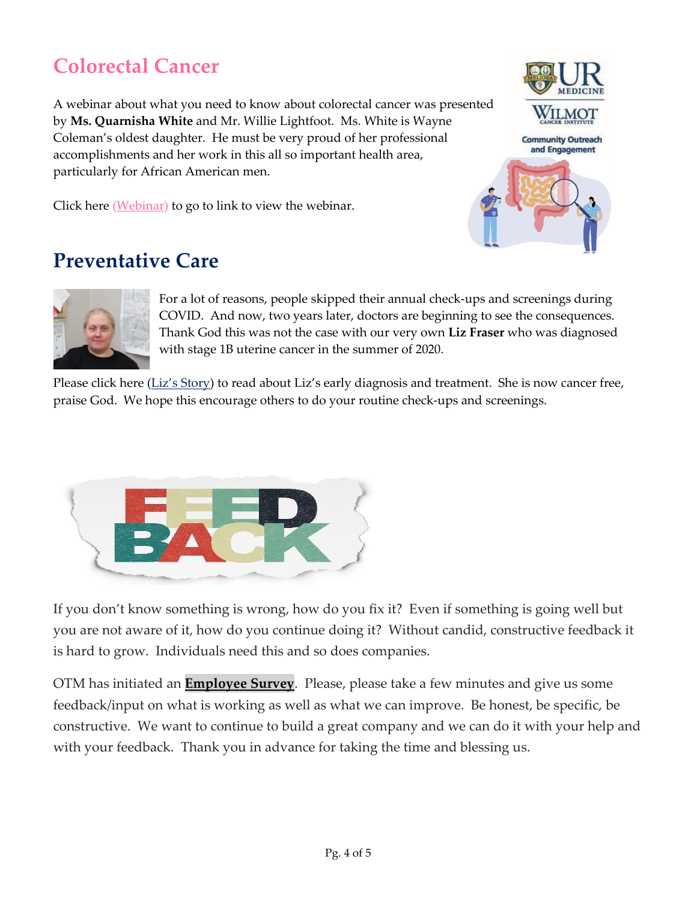## **Colorectal Cancer**

A webinar about what you need to know about colorectal cancer was presented by **Ms. Quarnisha White** and Mr. Willie Lightfoot. Ms. White is Wayne Coleman's oldest daughter. He must be very proud of her professional accomplishments and her work in this all so important health area, particularly for African American men.

**ILMOT Community Outreach** and Engagement

Click here (*Webinar*) to go to link to view the webinar.

## **Preventative Care**



For a lot of reasons, people skipped their annual check-ups and screenings during COVID. And now, two years later, doctors are beginning to see the consequences. Thank God this was not the case with our very own **Liz Fraser** who was diagnosed with stage 1B uterine cancer in the summer of 2020.

Please click here (Liz['s Story\)](https://13wham.com/news/local/delay-of-preventative-care-a-concerning-trend-doctors-say?video=b961ffb4daca4f73958d8159dc28c91b&jwsource=cl) to read about Liz's early diagnosis and treatment. She is now cancer free, praise God. We hope this encourage others to do your routine check-ups and screenings.



If you don't know something is wrong, how do you fix it? Even if something is going well but you are not aware of it, how do you continue doing it? Without candid, constructive feedback it is hard to grow. Individuals need this and so does companies.

OTM has initiated an **[Employee Survey](https://jwbryant.wufoo.com/forms/employee-satisfaction-survey-company-level/)**. Please, please take a few minutes and give us some feedback/input on what is working as well as what we can improve. Be honest, be specific, be constructive. We want to continue to build a great company and we can do it with your help and with your feedback. Thank you in advance for taking the time and blessing us.